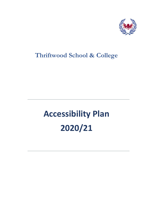

# **Thriftwood School & College**

# **Accessibility Plan 2020/21**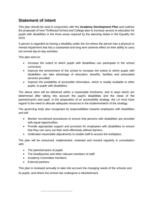#### **Statement of intent**

This plan should be read in conjunction with the **Academy Development Plan** and outlines the proposals of how Thriftwood School and College plan to increase access to education for pupils with disabilities in the three areas required by the planning duties in the Equality Act 2010.

A person is regarded as having a disability under the Act where the person has a physical or mental impairment that has a substantial and long term adverse effect on their ability to carry out normal day-to-day activities.

This plan aims to:

- Increase the extent to which pupils with disabilities can participate in the school curriculum.
- Improve the environment of the school to increase the extent to which pupils with disabilities can take advantage of education, benefits, facilities and associated services provided.
- Improve the availability of accessible information, which is readily available to other pupils, to pupils with disabilities.

The above aims will be delivered within a reasonable timeframe, and in ways which are determined after taking into account the pupil's disabilities and the views of the parents/carers and pupil. In the preparation of an accessibility strategy, the LA must have regard to the need to allocate adequate resources in the implementation of the strategy.

The governing body also recognises its responsibilities towards employees with disabilities and will:

- Monitor recruitment procedures to ensure that persons with disabilities are provided with equal opportunities.
- Provide appropriate support and provision for employees with disabilities to ensure that they can carry out their work effectively without barriers.
- Undertake reasonable adjustments to enable staff to access the workplace.

The plan will be resourced, implemented, reviewed and revised regularly in consultation with:

- The parents/carers of pupils
- The headteacher and other relevant members of staff
- Academy Committee members
- External partners

This plan is reviewed annually to take into account the changing needs of the schools and its pupils, and where the school has undergone a refurbishment.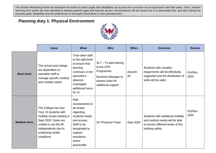The Student Monitoring Panel has assessed the extent to which pupils with disabilities can access the curriculum on an equal basis with their peers. Short, medium and long term action are then identified to address specific gaps and improve access. All procedures will be carried out in a reasonable time, and after taking into account pupils' disabilities and the preferences of the pupils themselves or their parents/carers.

#### **Planning duty 1: Physical Environment**



|                    | <b>Issue</b>                                                                                                                                                                            | <b>What</b>                                                                                                                                                               | <b>Who</b>                                                                                                                  | When         | <b>Outcome</b>                                                                                                              | <b>Review</b>   |
|--------------------|-----------------------------------------------------------------------------------------------------------------------------------------------------------------------------------------|---------------------------------------------------------------------------------------------------------------------------------------------------------------------------|-----------------------------------------------------------------------------------------------------------------------------|--------------|-----------------------------------------------------------------------------------------------------------------------------|-----------------|
| <b>Short term</b>  | The school and college<br>are dependent on<br>specialist staff to<br>manage specific medical<br>and mobility needs                                                                      | Train other staff<br>to the right level<br>to ensure that<br>learning<br>continues in the<br>specialist's<br>absence.<br>Investigate<br>additional hours<br>for VI.       | $SLT - To$ add training<br>to the CPD<br>Programme.<br><b>Business Manager to</b><br>assess costs for<br>additional support | Autumn<br>20 | Students with complex<br>impairments will be effectively<br>supported and the distribution of<br>skills will be wider.      | Oct/Nov<br>2020 |
| <b>Medium term</b> | The College has new<br>Year 10 students with<br>mobility issues starting in<br>Sept 2020. Some are<br>unable to use the lift<br>independently due to<br>underlying health<br>conditions | <b>Risk</b><br>Assessments to<br>be drawn<br>regarding<br>students needs<br>and access.<br>Staff to be<br>designated to<br>support<br>transitions<br>where<br>practicable | <b>SLT/Pastoral Team</b>                                                                                                    | Sept 2020    | Students with additional mobility<br>and medical needs will be able<br>to access different levels of the<br>building safely | Oct/Nov<br>2020 |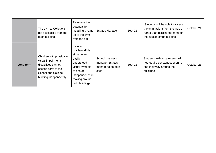|           | The gym at College is<br>not accessible from the<br>main building.                                                                            | Reassess the<br>potential for<br>installing a ramp<br>up to the gym<br>from the hall                                                                   | <b>Estates Manager</b>                                           | Sept 21 | Students will be able to access<br>the gymnasium from the inside<br>rather than utilising the ramp on<br>the outside of the building | October 21 |
|-----------|-----------------------------------------------------------------------------------------------------------------------------------------------|--------------------------------------------------------------------------------------------------------------------------------------------------------|------------------------------------------------------------------|---------|--------------------------------------------------------------------------------------------------------------------------------------|------------|
| Long term | Children with physical or<br>visual impairments<br>disabilities cannot<br>access parts of the<br>School and College<br>building independently | Include<br>braille/audible<br>signage and<br>easily<br>understood<br>visual symbols<br>to ensure<br>independence in<br>moving around<br>both buildings | School business<br>manager/Estates<br>manager s on both<br>sites | Sept 21 | Students with impairments will<br>not require constant support to<br>find their way around the<br>buildings                          | October 21 |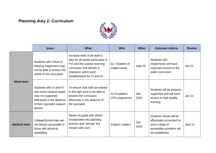### **Planning duty 2: Curriculum**



|                    | <b>Issue</b>                                                                                                                                   | <b>What</b>                                                                                                                                                                                | <b>Who</b>                       | <b>When</b> | <b>Outcome criteria</b>                                                                                              | <b>Review</b> |
|--------------------|------------------------------------------------------------------------------------------------------------------------------------------------|--------------------------------------------------------------------------------------------------------------------------------------------------------------------------------------------|----------------------------------|-------------|----------------------------------------------------------------------------------------------------------------------|---------------|
| <b>Short term</b>  | Students with Visual or<br>Hearing impairment may<br>not be able to access the<br>whole of the curriculum                                      | Increase skills of all staff to<br>plan for all needs particularly in<br>P.E and the outdoor learning<br>curriculum and identify a<br>champion within each<br>establishment for VI and HI. | SLT /leaders of<br>subject areas | Sept 20     | Students with<br>impairments will have<br>improved access to the<br>wider curriculum                                 | <b>Jan 21</b> |
|                    | Students with VI and HI<br>and some medical needs<br>may not supported<br>effectively in the absence<br>of their specialist support<br>person. | To ensure that staff are trained<br>to the right level to be able to<br>present the curriculum<br>effectively in the absence of<br>the specialist                                          | SLT/Leaders/<br>CPD programme    | Dec<br>2020 | Students will be properly<br>supported and will have<br>access to high quality<br>learning                           | <b>Jan 21</b> |
| <b>Medium term</b> | College/School trips are<br>not always accessible to<br>those with physical<br>disabilities                                                    | Needs of pupils with SEND<br>incorporated into planning<br>process and 'venues' are<br>chosen with care.                                                                                   | <b>Subject Leaders</b>           | Dec<br>2020 | Students needs will be<br>effectively accounted for<br>and a range of<br>accessible providers will<br>be established | April 21      |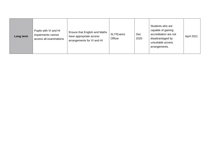| Long term | Pupils with VI and HI<br>impairments cannot<br>access all examinations | Ensure that English and Maths<br>have appropriate access<br>arrangements for VI and HI | SLT/Exams<br>Officer | Dec<br>2020 | Students who are<br>capable of gaining<br>accreditation are not<br>disadvantaged by<br>unsuitable access<br>arrangements. | April 2021 |
|-----------|------------------------------------------------------------------------|----------------------------------------------------------------------------------------|----------------------|-------------|---------------------------------------------------------------------------------------------------------------------------|------------|
|-----------|------------------------------------------------------------------------|----------------------------------------------------------------------------------------|----------------------|-------------|---------------------------------------------------------------------------------------------------------------------------|------------|